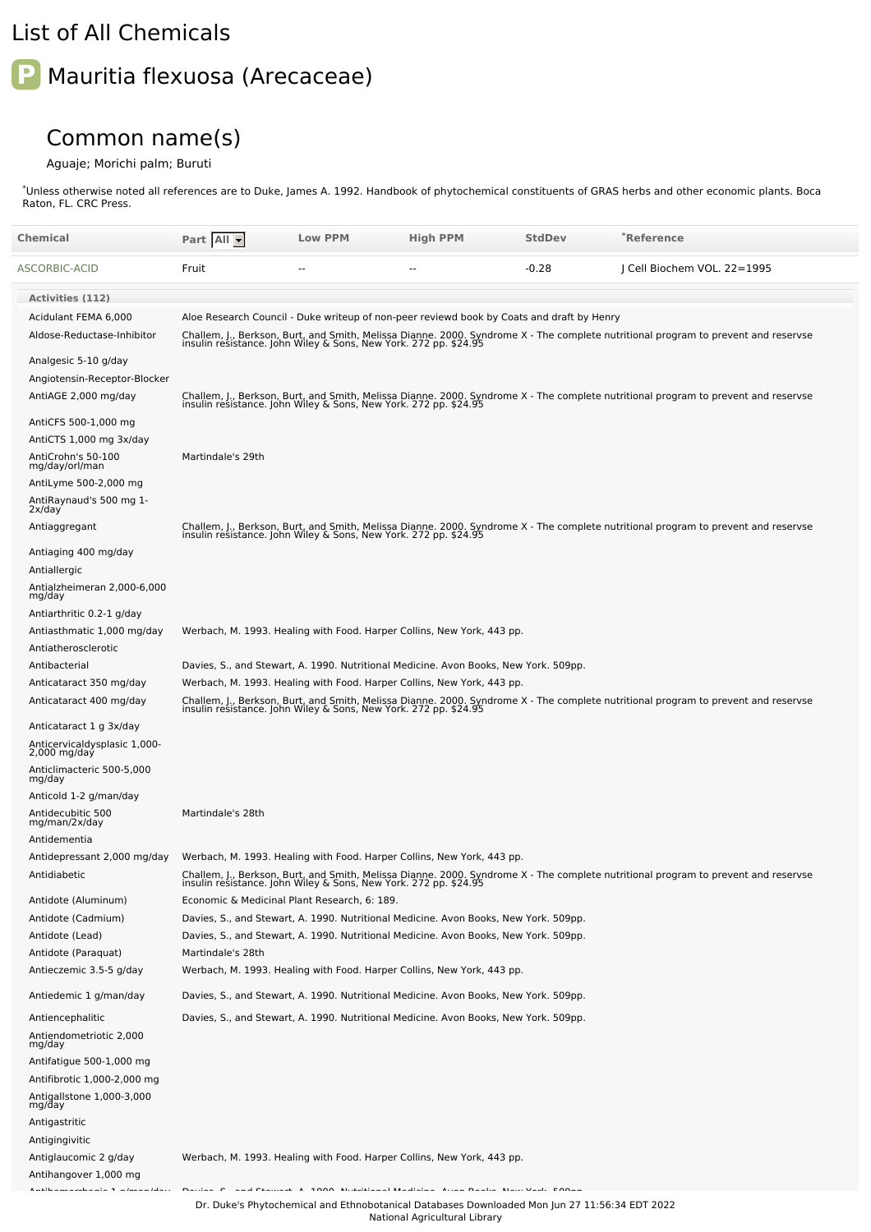## List of All Chemicals

## **P** Mauritia flexuosa (Arecaceae)

## Common name(s)

## Aguaje; Morichi palm; Buruti

Unless otherwise noted all references are to Duke, James A. 1992. Handbook of phytochemical constituents of GRAS herbs and other economic plants. Boca Raton, FL. CRC Press. \*

| Chemical                                           | Part All          | <b>Low PPM</b>                                                   | <b>High PPM</b>                                                                           | <b>StdDev</b> | <b>Reference</b> *                                                                                                                                                                                     |
|----------------------------------------------------|-------------------|------------------------------------------------------------------|-------------------------------------------------------------------------------------------|---------------|--------------------------------------------------------------------------------------------------------------------------------------------------------------------------------------------------------|
| ASCORBIC-ACID                                      | Fruit             |                                                                  |                                                                                           | $-0.28$       | J Cell Biochem VOL. 22=1995                                                                                                                                                                            |
|                                                    |                   |                                                                  |                                                                                           |               |                                                                                                                                                                                                        |
| <b>Activities (112)</b>                            |                   |                                                                  |                                                                                           |               |                                                                                                                                                                                                        |
| Acidulant FEMA 6,000                               |                   |                                                                  | Aloe Research Council - Duke writeup of non-peer reviewd book by Coats and draft by Henry |               |                                                                                                                                                                                                        |
| Aldose-Reductase-Inhibitor                         |                   |                                                                  |                                                                                           |               | Challem, J., Berkson, Burt, and Smith, Melissa Dianne. 2000. Syndrome X - The complete nutritional program to prevent and reservse<br>insulin resistance. John Wiley & Sons, New York. 272 pp. \$24.95 |
| Analgesic 5-10 g/day                               |                   |                                                                  |                                                                                           |               |                                                                                                                                                                                                        |
| Angiotensin-Receptor-Blocker                       |                   |                                                                  |                                                                                           |               |                                                                                                                                                                                                        |
| AntiAGE 2,000 mg/day                               |                   |                                                                  |                                                                                           |               | Challem, J., Berkson, Burt, and Smith, Melissa Dianne. 2000. Syndrome X - The complete nutritional program to prevent and reservse<br>insulin resistance. John Wiley & Sons, New York. 272 pp. \$24.95 |
| AntiCFS 500-1,000 mg                               |                   |                                                                  |                                                                                           |               |                                                                                                                                                                                                        |
| AntiCTS 1,000 mg 3x/day                            |                   |                                                                  |                                                                                           |               |                                                                                                                                                                                                        |
| AntiCrohn's 50-100<br>mg/day/orl/man               | Martindale's 29th |                                                                  |                                                                                           |               |                                                                                                                                                                                                        |
| AntiLyme 500-2,000 mg                              |                   |                                                                  |                                                                                           |               |                                                                                                                                                                                                        |
| AntiRaynaud's 500 mg 1-<br>2x/day                  |                   |                                                                  |                                                                                           |               |                                                                                                                                                                                                        |
| Antiaggregant                                      |                   |                                                                  |                                                                                           |               | Challem, J., Berkson, Burt, and Smith, Melissa Dianne. 2000. Syndrome X - The complete nutritional program to prevent and reservse<br>insulin resistance. John Wiley & Sons, New York. 272 pp. \$24.95 |
| Antiaging 400 mg/day                               |                   |                                                                  |                                                                                           |               |                                                                                                                                                                                                        |
| Antiallergic                                       |                   |                                                                  |                                                                                           |               |                                                                                                                                                                                                        |
| Antialzheimeran 2,000-6,000<br>mg/day              |                   |                                                                  |                                                                                           |               |                                                                                                                                                                                                        |
| Antiarthritic 0.2-1 g/day                          |                   |                                                                  |                                                                                           |               |                                                                                                                                                                                                        |
| Antiasthmatic 1,000 mg/day                         |                   |                                                                  | Werbach, M. 1993. Healing with Food. Harper Collins, New York, 443 pp.                    |               |                                                                                                                                                                                                        |
| Antiatherosclerotic                                |                   |                                                                  |                                                                                           |               |                                                                                                                                                                                                        |
| Antibacterial                                      |                   |                                                                  | Davies, S., and Stewart, A. 1990. Nutritional Medicine. Avon Books, New York. 509pp.      |               |                                                                                                                                                                                                        |
| Anticataract 350 mg/day<br>Anticataract 400 mg/day |                   |                                                                  | Werbach, M. 1993. Healing with Food. Harper Collins, New York, 443 pp.                    |               |                                                                                                                                                                                                        |
|                                                    |                   |                                                                  |                                                                                           |               | Challem, J., Berkson, Burt, and Smith, Melissa Dianne. 2000. Syndrome X - The complete nutritional program to prevent and reservse<br>insulin resistance. John Wiley & Sons, New York. 272 pp. \$24.95 |
| Anticataract 1 g 3x/day                            |                   |                                                                  |                                                                                           |               |                                                                                                                                                                                                        |
| Anticervicaldysplasic 1,000-<br>$2,000$ mg/day     |                   |                                                                  |                                                                                           |               |                                                                                                                                                                                                        |
| Anticlimacteric 500-5,000<br>mg/day                |                   |                                                                  |                                                                                           |               |                                                                                                                                                                                                        |
| Anticold 1-2 g/man/day                             |                   |                                                                  |                                                                                           |               |                                                                                                                                                                                                        |
| Antidecubitic 500<br>mg/man/2x/day                 | Martindale's 28th |                                                                  |                                                                                           |               |                                                                                                                                                                                                        |
| Antidementia                                       |                   |                                                                  |                                                                                           |               |                                                                                                                                                                                                        |
| Antidepressant 2,000 mg/day                        |                   |                                                                  | Werbach, M. 1993. Healing with Food. Harper Collins, New York, 443 pp.                    |               |                                                                                                                                                                                                        |
| Antidiabetic                                       |                   | insulin resistance. John Wiley & Sons, New York. 272 pp. \$24.95 |                                                                                           |               | Challem, J., Berkson, Burt, and Smith, Melissa Dianne. 2000. Syndrome X - The complete nutritional program to prevent and reservse                                                                     |
| Antidote (Aluminum)                                |                   | Economic & Medicinal Plant Research, 6: 189.                     |                                                                                           |               |                                                                                                                                                                                                        |
| Antidote (Cadmium)                                 |                   |                                                                  | Davies, S., and Stewart, A. 1990. Nutritional Medicine. Avon Books, New York. 509pp.      |               |                                                                                                                                                                                                        |
| Antidote (Lead)                                    |                   |                                                                  | Davies, S., and Stewart, A. 1990. Nutritional Medicine. Avon Books, New York. 509pp.      |               |                                                                                                                                                                                                        |
| Antidote (Paraquat)                                | Martindale's 28th |                                                                  |                                                                                           |               |                                                                                                                                                                                                        |
| Antieczemic 3.5-5 g/day                            |                   |                                                                  | Werbach, M. 1993. Healing with Food. Harper Collins, New York, 443 pp.                    |               |                                                                                                                                                                                                        |
| Antiedemic 1 g/man/day                             |                   |                                                                  | Davies, S., and Stewart, A. 1990. Nutritional Medicine. Avon Books, New York. 509pp.      |               |                                                                                                                                                                                                        |
| Antiencephalitic                                   |                   |                                                                  | Davies, S., and Stewart, A. 1990. Nutritional Medicine. Avon Books, New York. 509pp.      |               |                                                                                                                                                                                                        |
| Antiendometriotic 2,000<br>mg/day                  |                   |                                                                  |                                                                                           |               |                                                                                                                                                                                                        |
| Antifatigue 500-1,000 mg                           |                   |                                                                  |                                                                                           |               |                                                                                                                                                                                                        |
| Antifibrotic 1,000-2,000 mg                        |                   |                                                                  |                                                                                           |               |                                                                                                                                                                                                        |
| Antigallstone 1,000-3,000<br>mg/day                |                   |                                                                  |                                                                                           |               |                                                                                                                                                                                                        |
| Antigastritic                                      |                   |                                                                  |                                                                                           |               |                                                                                                                                                                                                        |
| Antigingivitic                                     |                   |                                                                  |                                                                                           |               |                                                                                                                                                                                                        |
| Antiglaucomic 2 g/day                              |                   |                                                                  | Werbach, M. 1993. Healing with Food. Harper Collins, New York, 443 pp.                    |               |                                                                                                                                                                                                        |
| Antihangover 1,000 mg                              |                   |                                                                  |                                                                                           |               |                                                                                                                                                                                                        |
|                                                    |                   |                                                                  |                                                                                           |               |                                                                                                                                                                                                        |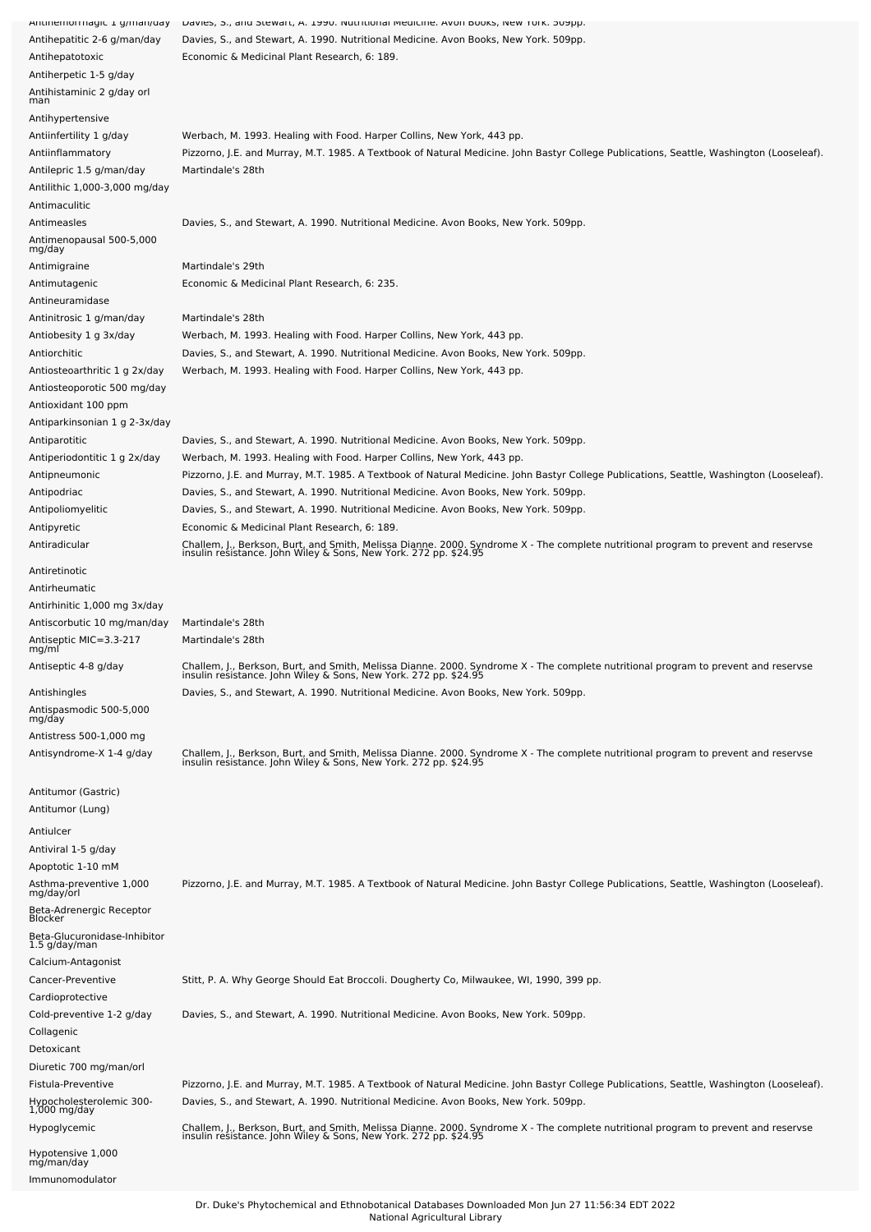| Antinemonnagic 1 g/man/uay               | Davies, 5., and Stewart, A. 1990. Nuthtional medicine. Avon Dooks, New Tork. Subpp.                                                                                                                    |
|------------------------------------------|--------------------------------------------------------------------------------------------------------------------------------------------------------------------------------------------------------|
| Antihepatitic 2-6 g/man/day              | Davies, S., and Stewart, A. 1990. Nutritional Medicine. Avon Books, New York. 509pp.                                                                                                                   |
| Antihepatotoxic                          | Economic & Medicinal Plant Research, 6: 189.                                                                                                                                                           |
| Antiherpetic 1-5 g/day                   |                                                                                                                                                                                                        |
|                                          |                                                                                                                                                                                                        |
| Antihistaminic 2 g/day orl<br>man        |                                                                                                                                                                                                        |
| Antihypertensive                         |                                                                                                                                                                                                        |
|                                          |                                                                                                                                                                                                        |
| Antiinfertility 1 g/day                  | Werbach, M. 1993. Healing with Food. Harper Collins, New York, 443 pp.                                                                                                                                 |
| Antiinflammatory                         | Pizzorno, J.E. and Murray, M.T. 1985. A Textbook of Natural Medicine. John Bastyr College Publications, Seattle, Washington (Looseleaf).                                                               |
| Antilepric 1.5 g/man/day                 | Martindale's 28th                                                                                                                                                                                      |
| Antilithic 1,000-3,000 mg/day            |                                                                                                                                                                                                        |
| Antimaculitic                            |                                                                                                                                                                                                        |
| Antimeasles                              | Davies, S., and Stewart, A. 1990. Nutritional Medicine. Avon Books, New York. 509pp.                                                                                                                   |
| Antimenopausal 500-5,000                 |                                                                                                                                                                                                        |
| mg/day                                   |                                                                                                                                                                                                        |
| Antimigraine                             | Martindale's 29th                                                                                                                                                                                      |
| Antimutagenic                            | Economic & Medicinal Plant Research, 6: 235.                                                                                                                                                           |
|                                          |                                                                                                                                                                                                        |
| Antineuramidase                          |                                                                                                                                                                                                        |
| Antinitrosic 1 g/man/day                 | Martindale's 28th                                                                                                                                                                                      |
| Antiobesity 1 g 3x/day                   | Werbach, M. 1993. Healing with Food. Harper Collins, New York, 443 pp.                                                                                                                                 |
| Antiorchitic                             | Davies, S., and Stewart, A. 1990. Nutritional Medicine. Avon Books, New York. 509pp.                                                                                                                   |
| Antiosteoarthritic 1 g 2x/day            | Werbach, M. 1993. Healing with Food. Harper Collins, New York, 443 pp.                                                                                                                                 |
| Antiosteoporotic 500 mg/day              |                                                                                                                                                                                                        |
|                                          |                                                                                                                                                                                                        |
| Antioxidant 100 ppm                      |                                                                                                                                                                                                        |
| Antiparkinsonian 1 g 2-3x/day            |                                                                                                                                                                                                        |
| Antiparotitic                            | Davies, S., and Stewart, A. 1990. Nutritional Medicine. Avon Books, New York. 509pp.                                                                                                                   |
| Antiperiodontitic 1 g 2x/day             | Werbach, M. 1993. Healing with Food. Harper Collins, New York, 443 pp.                                                                                                                                 |
| Antipneumonic                            | Pizzorno, J.E. and Murray, M.T. 1985. A Textbook of Natural Medicine. John Bastyr College Publications, Seattle, Washington (Looseleaf).                                                               |
| Antipodriac                              | Davies, S., and Stewart, A. 1990. Nutritional Medicine. Avon Books, New York. 509pp.                                                                                                                   |
|                                          |                                                                                                                                                                                                        |
| Antipoliomyelitic                        | Davies, S., and Stewart, A. 1990. Nutritional Medicine. Avon Books, New York. 509pp.                                                                                                                   |
| Antipyretic                              | Economic & Medicinal Plant Research, 6: 189.                                                                                                                                                           |
| Antiradicular                            | Challem, J., Berkson, Burt, and Smith, Melissa Dianne. 2000. Syndrome X - The complete nutritional program to prevent and reservse<br>insulin resistance. John Wiley & Sons, New York. 272 pp. \$24.95 |
|                                          |                                                                                                                                                                                                        |
| Antiretinotic                            |                                                                                                                                                                                                        |
| Antirheumatic                            |                                                                                                                                                                                                        |
| Antirhinitic 1,000 mg 3x/day             |                                                                                                                                                                                                        |
| Antiscorbutic 10 mg/man/day              | Martindale's 28th                                                                                                                                                                                      |
| Antiseptic MIC=3.3-217                   | Martindale's 28th                                                                                                                                                                                      |
| mg/ml                                    |                                                                                                                                                                                                        |
| Antiseptic 4-8 g/day                     | Challem, J., Berkson, Burt, and Smith, Melissa Dianne. 2000. Syndrome X - The complete nutritional program to prevent and reservse                                                                     |
|                                          | insulin resistance. John Wiley & Sons, New York. 272 pp. \$24.9                                                                                                                                        |
| Antishingles                             | Davies, S., and Stewart, A. 1990. Nutritional Medicine. Avon Books, New York. 509pp.                                                                                                                   |
| Antispasmodic 500-5,000                  |                                                                                                                                                                                                        |
| mg/day                                   |                                                                                                                                                                                                        |
| Antistress 500-1,000 mg                  |                                                                                                                                                                                                        |
| Antisyndrome-X 1-4 g/day                 | Challem, J., Berkson, Burt, and Smith, Melissa Dianne. 2000. Syndrome X - The complete nutritional program to prevent and reservse<br>insulin resistance. John Wiley & Sons, New York. 272 pp. \$24.95 |
|                                          |                                                                                                                                                                                                        |
|                                          |                                                                                                                                                                                                        |
| Antitumor (Gastric)                      |                                                                                                                                                                                                        |
| Antitumor (Lung)                         |                                                                                                                                                                                                        |
| Antiulcer                                |                                                                                                                                                                                                        |
|                                          |                                                                                                                                                                                                        |
| Antiviral 1-5 g/day                      |                                                                                                                                                                                                        |
| Apoptotic 1-10 mM                        |                                                                                                                                                                                                        |
| Asthma-preventive 1,000                  | Pizzorno, J.E. and Murray, M.T. 1985. A Textbook of Natural Medicine. John Bastyr College Publications, Seattle, Washington (Looseleaf).                                                               |
| mg/day/orl                               |                                                                                                                                                                                                        |
| Beta-Adrenergic Receptor<br>Blocker      |                                                                                                                                                                                                        |
| Beta-Glucuronidase-Inhibitor             |                                                                                                                                                                                                        |
| 1.5 g/day/man                            |                                                                                                                                                                                                        |
| Calcium-Antagonist                       |                                                                                                                                                                                                        |
| Cancer-Preventive                        | Stitt, P. A. Why George Should Eat Broccoli. Dougherty Co, Milwaukee, WI, 1990, 399 pp.                                                                                                                |
|                                          |                                                                                                                                                                                                        |
| Cardioprotective                         |                                                                                                                                                                                                        |
| Cold-preventive 1-2 g/day                | Davies, S., and Stewart, A. 1990. Nutritional Medicine. Avon Books, New York. 509pp.                                                                                                                   |
| Collagenic                               |                                                                                                                                                                                                        |
| Detoxicant                               |                                                                                                                                                                                                        |
| Diuretic 700 mg/man/orl                  |                                                                                                                                                                                                        |
|                                          |                                                                                                                                                                                                        |
| Fistula-Preventive                       | Pizzorno, J.E. and Murray, M.T. 1985. A Textbook of Natural Medicine. John Bastyr College Publications, Seattle, Washington (Looseleaf).                                                               |
| Hypocholesterolemic 300-<br>1,000 mg/day | Davies, S., and Stewart, A. 1990. Nutritional Medicine. Avon Books, New York. 509pp.                                                                                                                   |
| Hypoglycemic                             |                                                                                                                                                                                                        |
|                                          | Challem, J., Berkson, Burt, and Smith, Melissa Dianne. 2000. Syndrome X - The complete nutritional program to prevent and reservse<br>insulin resistance. John Wiley & Sons, New York. 272 pp. \$24.95 |
| Hypotensive 1,000                        |                                                                                                                                                                                                        |
|                                          |                                                                                                                                                                                                        |
| mg/man/day<br>Immunomodulator            |                                                                                                                                                                                                        |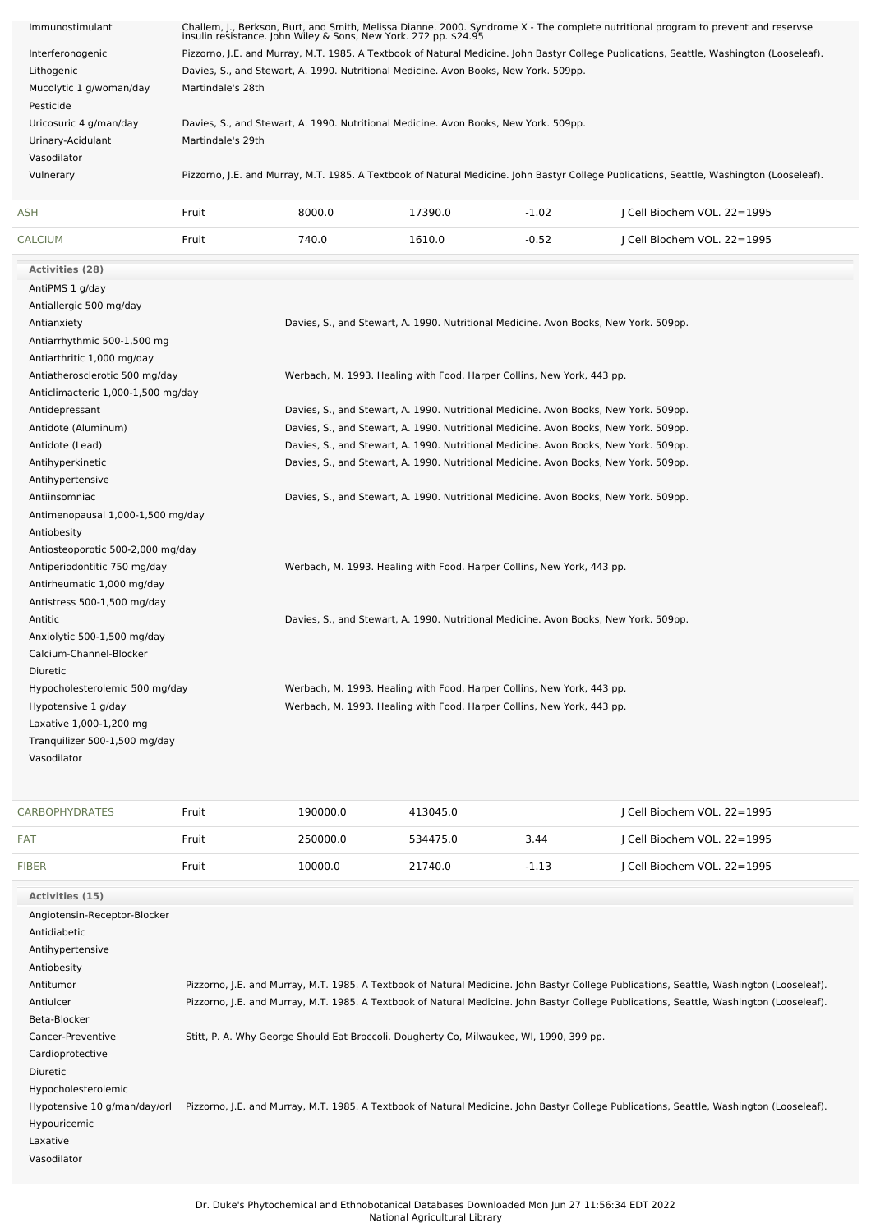| Immunostimulant                                                                                                                                                                                     | Challem, J., Berkson, Burt, and Smith, Melissa Dianne. 2000. Syndrome X - The complete nutritional program to prevent and reservse<br>insulin resistance. John Wiley & Sons, New York. 272 pp. \$24.95 |                                                                                      |                                                                                      |         |                             |  |  |  |  |
|-----------------------------------------------------------------------------------------------------------------------------------------------------------------------------------------------------|--------------------------------------------------------------------------------------------------------------------------------------------------------------------------------------------------------|--------------------------------------------------------------------------------------|--------------------------------------------------------------------------------------|---------|-----------------------------|--|--|--|--|
| Interferonogenic                                                                                                                                                                                    | Pizzorno, J.E. and Murray, M.T. 1985. A Textbook of Natural Medicine. John Bastyr College Publications, Seattle, Washington (Looseleaf).                                                               |                                                                                      |                                                                                      |         |                             |  |  |  |  |
| Lithogenic                                                                                                                                                                                          |                                                                                                                                                                                                        | Davies, S., and Stewart, A. 1990. Nutritional Medicine. Avon Books, New York. 509pp. |                                                                                      |         |                             |  |  |  |  |
| Mucolytic 1 g/woman/day                                                                                                                                                                             | Martindale's 28th                                                                                                                                                                                      |                                                                                      |                                                                                      |         |                             |  |  |  |  |
| Pesticide                                                                                                                                                                                           |                                                                                                                                                                                                        |                                                                                      |                                                                                      |         |                             |  |  |  |  |
| Uricosuric 4 g/man/day                                                                                                                                                                              |                                                                                                                                                                                                        | Davies, S., and Stewart, A. 1990. Nutritional Medicine. Avon Books, New York. 509pp. |                                                                                      |         |                             |  |  |  |  |
| Urinary-Acidulant                                                                                                                                                                                   | Martindale's 29th                                                                                                                                                                                      |                                                                                      |                                                                                      |         |                             |  |  |  |  |
| Vasodilator                                                                                                                                                                                         |                                                                                                                                                                                                        |                                                                                      |                                                                                      |         |                             |  |  |  |  |
| Vulnerary                                                                                                                                                                                           | Pizzorno, J.E. and Murray, M.T. 1985. A Textbook of Natural Medicine. John Bastyr College Publications, Seattle, Washington (Looseleaf).                                                               |                                                                                      |                                                                                      |         |                             |  |  |  |  |
|                                                                                                                                                                                                     |                                                                                                                                                                                                        |                                                                                      |                                                                                      |         |                             |  |  |  |  |
| <b>ASH</b>                                                                                                                                                                                          | Fruit                                                                                                                                                                                                  | 8000.0                                                                               | 17390.0                                                                              | $-1.02$ | J Cell Biochem VOL. 22=1995 |  |  |  |  |
| <b>CALCIUM</b>                                                                                                                                                                                      | Fruit                                                                                                                                                                                                  | 740.0                                                                                | 1610.0                                                                               | $-0.52$ | J Cell Biochem VOL. 22=1995 |  |  |  |  |
| <b>Activities (28)</b>                                                                                                                                                                              |                                                                                                                                                                                                        |                                                                                      |                                                                                      |         |                             |  |  |  |  |
| AntiPMS 1 g/day                                                                                                                                                                                     |                                                                                                                                                                                                        |                                                                                      |                                                                                      |         |                             |  |  |  |  |
| Antiallergic 500 mg/day                                                                                                                                                                             |                                                                                                                                                                                                        |                                                                                      |                                                                                      |         |                             |  |  |  |  |
| Antianxiety                                                                                                                                                                                         |                                                                                                                                                                                                        |                                                                                      | Davies, S., and Stewart, A. 1990. Nutritional Medicine. Avon Books, New York. 509pp. |         |                             |  |  |  |  |
| Antiarrhythmic 500-1,500 mg                                                                                                                                                                         |                                                                                                                                                                                                        |                                                                                      |                                                                                      |         |                             |  |  |  |  |
| Antiarthritic 1,000 mg/day                                                                                                                                                                          |                                                                                                                                                                                                        |                                                                                      |                                                                                      |         |                             |  |  |  |  |
| Antiatherosclerotic 500 mg/day                                                                                                                                                                      |                                                                                                                                                                                                        |                                                                                      | Werbach, M. 1993. Healing with Food. Harper Collins, New York, 443 pp.               |         |                             |  |  |  |  |
|                                                                                                                                                                                                     |                                                                                                                                                                                                        |                                                                                      |                                                                                      |         |                             |  |  |  |  |
| Antidepressant                                                                                                                                                                                      | Anticlimacteric 1,000-1,500 mg/day                                                                                                                                                                     |                                                                                      |                                                                                      |         |                             |  |  |  |  |
| Davies, S., and Stewart, A. 1990. Nutritional Medicine. Avon Books, New York. 509pp.<br>Antidote (Aluminum)<br>Davies, S., and Stewart, A. 1990. Nutritional Medicine. Avon Books, New York. 509pp. |                                                                                                                                                                                                        |                                                                                      |                                                                                      |         |                             |  |  |  |  |
| Antidote (Lead)<br>Davies, S., and Stewart, A. 1990. Nutritional Medicine. Avon Books, New York. 509pp.                                                                                             |                                                                                                                                                                                                        |                                                                                      |                                                                                      |         |                             |  |  |  |  |
| Davies, S., and Stewart, A. 1990. Nutritional Medicine. Avon Books, New York. 509pp.<br>Antihyperkinetic                                                                                            |                                                                                                                                                                                                        |                                                                                      |                                                                                      |         |                             |  |  |  |  |
| Antihypertensive                                                                                                                                                                                    |                                                                                                                                                                                                        |                                                                                      |                                                                                      |         |                             |  |  |  |  |
| Davies, S., and Stewart, A. 1990. Nutritional Medicine. Avon Books, New York. 509pp.<br>Antiinsomniac                                                                                               |                                                                                                                                                                                                        |                                                                                      |                                                                                      |         |                             |  |  |  |  |
|                                                                                                                                                                                                     |                                                                                                                                                                                                        |                                                                                      |                                                                                      |         |                             |  |  |  |  |
| Antimenopausal 1,000-1,500 mg/day                                                                                                                                                                   |                                                                                                                                                                                                        |                                                                                      |                                                                                      |         |                             |  |  |  |  |
| Antiobesity                                                                                                                                                                                         |                                                                                                                                                                                                        |                                                                                      |                                                                                      |         |                             |  |  |  |  |
| Antiosteoporotic 500-2,000 mg/day                                                                                                                                                                   |                                                                                                                                                                                                        |                                                                                      |                                                                                      |         |                             |  |  |  |  |
| Antiperiodontitic 750 mg/day<br>Werbach, M. 1993. Healing with Food. Harper Collins, New York, 443 pp.                                                                                              |                                                                                                                                                                                                        |                                                                                      |                                                                                      |         |                             |  |  |  |  |
| Antirheumatic 1,000 mg/day                                                                                                                                                                          |                                                                                                                                                                                                        |                                                                                      |                                                                                      |         |                             |  |  |  |  |
| Antistress 500-1,500 mg/day                                                                                                                                                                         |                                                                                                                                                                                                        |                                                                                      |                                                                                      |         |                             |  |  |  |  |
| Antitic                                                                                                                                                                                             |                                                                                                                                                                                                        |                                                                                      | Davies, S., and Stewart, A. 1990. Nutritional Medicine. Avon Books, New York. 509pp. |         |                             |  |  |  |  |
| Anxiolytic 500-1,500 mg/day                                                                                                                                                                         |                                                                                                                                                                                                        |                                                                                      |                                                                                      |         |                             |  |  |  |  |
| Calcium-Channel-Blocker                                                                                                                                                                             |                                                                                                                                                                                                        |                                                                                      |                                                                                      |         |                             |  |  |  |  |
| Diuretic                                                                                                                                                                                            |                                                                                                                                                                                                        |                                                                                      |                                                                                      |         |                             |  |  |  |  |
| Hypocholesterolemic 500 mg/day                                                                                                                                                                      |                                                                                                                                                                                                        |                                                                                      | Werbach, M. 1993. Healing with Food. Harper Collins, New York, 443 pp.               |         |                             |  |  |  |  |
| Hypotensive 1 g/day                                                                                                                                                                                 |                                                                                                                                                                                                        |                                                                                      | Werbach, M. 1993. Healing with Food. Harper Collins, New York, 443 pp.               |         |                             |  |  |  |  |
| Laxative 1,000-1,200 mg                                                                                                                                                                             |                                                                                                                                                                                                        |                                                                                      |                                                                                      |         |                             |  |  |  |  |
| Tranquilizer 500-1,500 mg/day                                                                                                                                                                       |                                                                                                                                                                                                        |                                                                                      |                                                                                      |         |                             |  |  |  |  |
| Vasodilator                                                                                                                                                                                         |                                                                                                                                                                                                        |                                                                                      |                                                                                      |         |                             |  |  |  |  |
|                                                                                                                                                                                                     |                                                                                                                                                                                                        |                                                                                      |                                                                                      |         |                             |  |  |  |  |
| <b>CARBOPHYDRATES</b>                                                                                                                                                                               | Fruit                                                                                                                                                                                                  | 190000.0                                                                             | 413045.0                                                                             |         | Cell Biochem VOL. 22=1995   |  |  |  |  |
| <b>FAT</b>                                                                                                                                                                                          | Fruit                                                                                                                                                                                                  | 250000.0                                                                             | 534475.0                                                                             | 3.44    | J Cell Biochem VOL. 22=1995 |  |  |  |  |

| <b>FIBER</b>                 | Fruit | 10000.0 | 21740.0                                                                                 | $-1.13$ | Cell Biochem VOL. 22=1995                                                                                                                |
|------------------------------|-------|---------|-----------------------------------------------------------------------------------------|---------|------------------------------------------------------------------------------------------------------------------------------------------|
| Activities (15)              |       |         |                                                                                         |         |                                                                                                                                          |
| Angiotensin-Receptor-Blocker |       |         |                                                                                         |         |                                                                                                                                          |
| Antidiabetic                 |       |         |                                                                                         |         |                                                                                                                                          |
| Antihypertensive             |       |         |                                                                                         |         |                                                                                                                                          |
| Antiobesity                  |       |         |                                                                                         |         |                                                                                                                                          |
| Antitumor                    |       |         |                                                                                         |         | Pizzorno, J.E. and Murray, M.T. 1985. A Textbook of Natural Medicine. John Bastyr College Publications, Seattle, Washington (Looseleaf). |
| Antiulcer                    |       |         |                                                                                         |         | Pizzorno, J.E. and Murray, M.T. 1985. A Textbook of Natural Medicine. John Bastyr College Publications, Seattle, Washington (Looseleaf). |
| Beta-Blocker                 |       |         |                                                                                         |         |                                                                                                                                          |
| Cancer-Preventive            |       |         | Stitt, P. A. Why George Should Eat Broccoli. Dougherty Co, Milwaukee, WI, 1990, 399 pp. |         |                                                                                                                                          |
| Cardioprotective             |       |         |                                                                                         |         |                                                                                                                                          |
| Diuretic                     |       |         |                                                                                         |         |                                                                                                                                          |
| Hypocholesterolemic          |       |         |                                                                                         |         |                                                                                                                                          |
| Hypotensive 10 g/man/day/orl |       |         |                                                                                         |         | Pizzorno, J.E. and Murray, M.T. 1985. A Textbook of Natural Medicine. John Bastyr College Publications, Seattle, Washington (Looseleaf). |
| Hypouricemic                 |       |         |                                                                                         |         |                                                                                                                                          |
| Laxative                     |       |         |                                                                                         |         |                                                                                                                                          |
| Vasodilator                  |       |         |                                                                                         |         |                                                                                                                                          |
|                              |       |         |                                                                                         |         |                                                                                                                                          |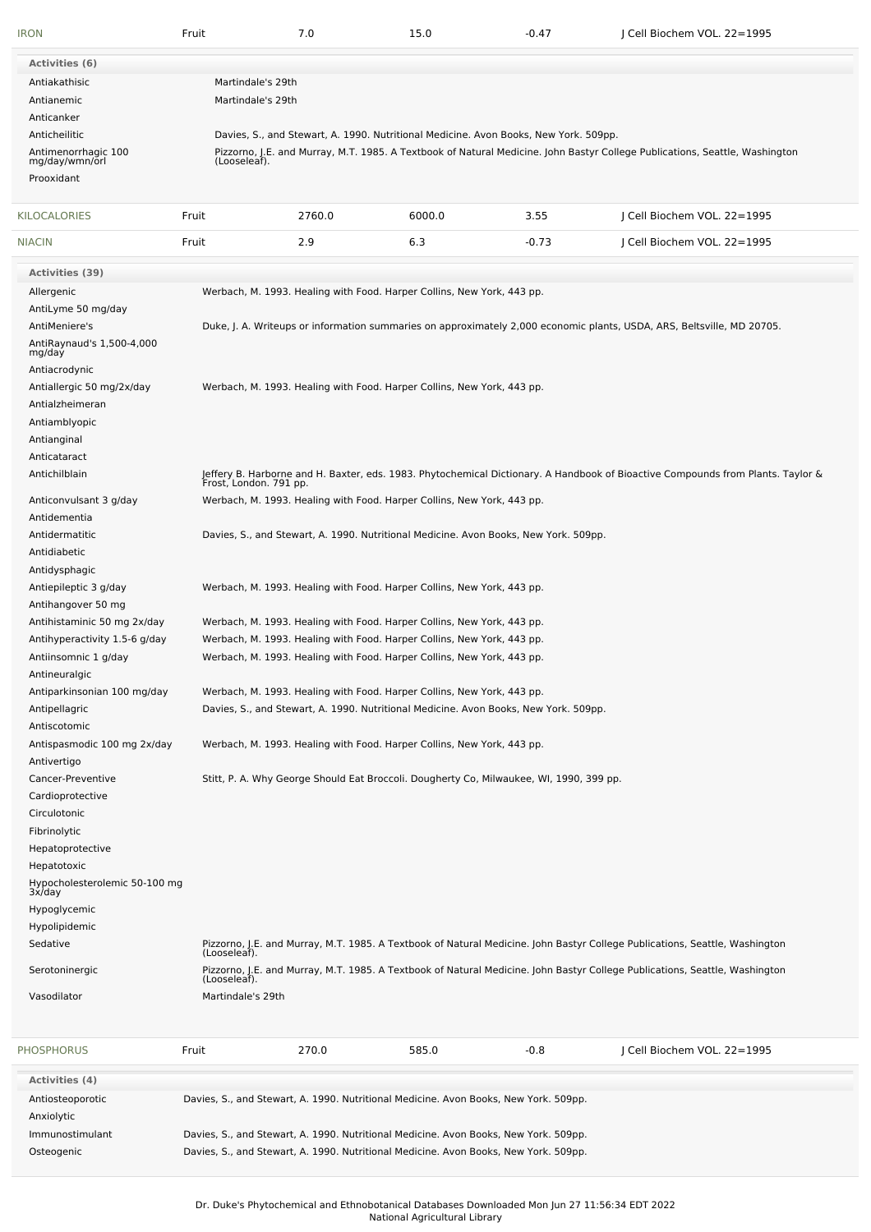| <b>IRON</b>                                | Fruit                                                                                                                                                                                                               | 7.0                                                                                     | 15.0   | $-0.47$ | J Cell Biochem VOL. 22=1995                                                                                                     |  |  |
|--------------------------------------------|---------------------------------------------------------------------------------------------------------------------------------------------------------------------------------------------------------------------|-----------------------------------------------------------------------------------------|--------|---------|---------------------------------------------------------------------------------------------------------------------------------|--|--|
| <b>Activities (6)</b>                      |                                                                                                                                                                                                                     |                                                                                         |        |         |                                                                                                                                 |  |  |
| Antiakathisic                              | Martindale's 29th                                                                                                                                                                                                   |                                                                                         |        |         |                                                                                                                                 |  |  |
| Antianemic                                 | Martindale's 29th                                                                                                                                                                                                   |                                                                                         |        |         |                                                                                                                                 |  |  |
| Anticanker                                 |                                                                                                                                                                                                                     |                                                                                         |        |         |                                                                                                                                 |  |  |
| Anticheilitic                              |                                                                                                                                                                                                                     |                                                                                         |        |         |                                                                                                                                 |  |  |
| Antimenorrhagic 100                        | Davies, S., and Stewart, A. 1990. Nutritional Medicine. Avon Books, New York. 509pp.<br>Pizzorno, J.E. and Murray, M.T. 1985. A Textbook of Natural Medicine. John Bastyr College Publications, Seattle, Washington |                                                                                         |        |         |                                                                                                                                 |  |  |
| mg/day/wmn/orl                             | (Looseleaf).                                                                                                                                                                                                        |                                                                                         |        |         |                                                                                                                                 |  |  |
| Prooxidant                                 |                                                                                                                                                                                                                     |                                                                                         |        |         |                                                                                                                                 |  |  |
|                                            |                                                                                                                                                                                                                     |                                                                                         |        |         |                                                                                                                                 |  |  |
| KILOCALORIES                               | Fruit                                                                                                                                                                                                               | 2760.0                                                                                  | 6000.0 | 3.55    | J Cell Biochem VOL. 22=1995                                                                                                     |  |  |
| <b>NIACIN</b>                              | Fruit                                                                                                                                                                                                               | 2.9                                                                                     | 6.3    | $-0.73$ | Cell Biochem VOL. 22=1995                                                                                                       |  |  |
|                                            |                                                                                                                                                                                                                     |                                                                                         |        |         |                                                                                                                                 |  |  |
| <b>Activities (39)</b>                     |                                                                                                                                                                                                                     |                                                                                         |        |         |                                                                                                                                 |  |  |
| Allergenic                                 |                                                                                                                                                                                                                     | Werbach, M. 1993. Healing with Food. Harper Collins, New York, 443 pp.                  |        |         |                                                                                                                                 |  |  |
| AntiLyme 50 mg/day                         |                                                                                                                                                                                                                     |                                                                                         |        |         |                                                                                                                                 |  |  |
| AntiMeniere's                              |                                                                                                                                                                                                                     |                                                                                         |        |         | Duke, J. A. Writeups or information summaries on approximately 2,000 economic plants, USDA, ARS, Beltsville, MD 20705.          |  |  |
| AntiRaynaud's 1,500-4,000<br>mg/day        |                                                                                                                                                                                                                     |                                                                                         |        |         |                                                                                                                                 |  |  |
| Antiacrodynic                              |                                                                                                                                                                                                                     |                                                                                         |        |         |                                                                                                                                 |  |  |
| Antiallergic 50 mg/2x/day                  |                                                                                                                                                                                                                     | Werbach, M. 1993. Healing with Food. Harper Collins, New York, 443 pp.                  |        |         |                                                                                                                                 |  |  |
| Antialzheimeran                            |                                                                                                                                                                                                                     |                                                                                         |        |         |                                                                                                                                 |  |  |
| Antiamblyopic                              |                                                                                                                                                                                                                     |                                                                                         |        |         |                                                                                                                                 |  |  |
| Antianginal                                |                                                                                                                                                                                                                     |                                                                                         |        |         |                                                                                                                                 |  |  |
| Anticataract                               |                                                                                                                                                                                                                     |                                                                                         |        |         |                                                                                                                                 |  |  |
| Antichilblain                              |                                                                                                                                                                                                                     |                                                                                         |        |         | Jeffery B. Harborne and H. Baxter, eds. 1983. Phytochemical Dictionary. A Handbook of Bioactive Compounds from Plants. Taylor & |  |  |
|                                            | Frost, London. 791 pp.                                                                                                                                                                                              |                                                                                         |        |         |                                                                                                                                 |  |  |
| Anticonvulsant 3 g/day                     |                                                                                                                                                                                                                     | Werbach, M. 1993. Healing with Food. Harper Collins, New York, 443 pp.                  |        |         |                                                                                                                                 |  |  |
| Antidementia                               |                                                                                                                                                                                                                     |                                                                                         |        |         |                                                                                                                                 |  |  |
| Antidermatitic                             |                                                                                                                                                                                                                     | Davies, S., and Stewart, A. 1990. Nutritional Medicine. Avon Books, New York. 509pp.    |        |         |                                                                                                                                 |  |  |
| Antidiabetic                               |                                                                                                                                                                                                                     |                                                                                         |        |         |                                                                                                                                 |  |  |
| Antidysphagic                              |                                                                                                                                                                                                                     |                                                                                         |        |         |                                                                                                                                 |  |  |
| Antiepileptic 3 g/day                      |                                                                                                                                                                                                                     | Werbach, M. 1993. Healing with Food. Harper Collins, New York, 443 pp.                  |        |         |                                                                                                                                 |  |  |
| Antihangover 50 mg                         |                                                                                                                                                                                                                     |                                                                                         |        |         |                                                                                                                                 |  |  |
| Antihistaminic 50 mg 2x/day                | Werbach, M. 1993. Healing with Food. Harper Collins, New York, 443 pp.<br>Werbach, M. 1993. Healing with Food. Harper Collins, New York, 443 pp.                                                                    |                                                                                         |        |         |                                                                                                                                 |  |  |
| Antihyperactivity 1.5-6 g/day              |                                                                                                                                                                                                                     |                                                                                         |        |         |                                                                                                                                 |  |  |
| Antiinsomnic 1 g/day                       |                                                                                                                                                                                                                     | Werbach, M. 1993. Healing with Food. Harper Collins, New York, 443 pp.                  |        |         |                                                                                                                                 |  |  |
| Antineuralgic                              |                                                                                                                                                                                                                     |                                                                                         |        |         |                                                                                                                                 |  |  |
| Antiparkinsonian 100 mg/day                |                                                                                                                                                                                                                     | Werbach, M. 1993. Healing with Food. Harper Collins, New York, 443 pp.                  |        |         |                                                                                                                                 |  |  |
| Antipellagric                              |                                                                                                                                                                                                                     | Davies, S., and Stewart, A. 1990. Nutritional Medicine. Avon Books, New York. 509pp.    |        |         |                                                                                                                                 |  |  |
| Antiscotomic                               |                                                                                                                                                                                                                     |                                                                                         |        |         |                                                                                                                                 |  |  |
| Antispasmodic 100 mg 2x/day<br>Antivertigo |                                                                                                                                                                                                                     | Werbach, M. 1993. Healing with Food. Harper Collins, New York, 443 pp.                  |        |         |                                                                                                                                 |  |  |
| Cancer-Preventive                          |                                                                                                                                                                                                                     | Stitt, P. A. Why George Should Eat Broccoli. Dougherty Co, Milwaukee, WI, 1990, 399 pp. |        |         |                                                                                                                                 |  |  |
| Cardioprotective                           |                                                                                                                                                                                                                     |                                                                                         |        |         |                                                                                                                                 |  |  |
| Circulotonic                               |                                                                                                                                                                                                                     |                                                                                         |        |         |                                                                                                                                 |  |  |
| Fibrinolytic                               |                                                                                                                                                                                                                     |                                                                                         |        |         |                                                                                                                                 |  |  |
| Hepatoprotective                           |                                                                                                                                                                                                                     |                                                                                         |        |         |                                                                                                                                 |  |  |
|                                            |                                                                                                                                                                                                                     |                                                                                         |        |         |                                                                                                                                 |  |  |
| Hepatotoxic                                |                                                                                                                                                                                                                     |                                                                                         |        |         |                                                                                                                                 |  |  |
| Hypocholesterolemic 50-100 mg<br>3x/day    |                                                                                                                                                                                                                     |                                                                                         |        |         |                                                                                                                                 |  |  |
| Hypoglycemic                               |                                                                                                                                                                                                                     |                                                                                         |        |         |                                                                                                                                 |  |  |
| Hypolipidemic                              |                                                                                                                                                                                                                     |                                                                                         |        |         |                                                                                                                                 |  |  |
| Sedative                                   | (Looseleaf).                                                                                                                                                                                                        |                                                                                         |        |         | Pizzorno, J.E. and Murray, M.T. 1985. A Textbook of Natural Medicine. John Bastyr College Publications, Seattle, Washington     |  |  |
| Serotoninergic                             |                                                                                                                                                                                                                     |                                                                                         |        |         | Pizzorno, J.E. and Murray, M.T. 1985. A Textbook of Natural Medicine. John Bastyr College Publications, Seattle, Washington     |  |  |
|                                            | (Looseleaf).                                                                                                                                                                                                        |                                                                                         |        |         |                                                                                                                                 |  |  |
| Vasodilator                                | Martindale's 29th                                                                                                                                                                                                   |                                                                                         |        |         |                                                                                                                                 |  |  |
| <b>PHOSPHORUS</b>                          | Fruit                                                                                                                                                                                                               | 270.0                                                                                   | 585.0  | $-0.8$  | J Cell Biochem VOL. 22=1995                                                                                                     |  |  |
|                                            |                                                                                                                                                                                                                     |                                                                                         |        |         |                                                                                                                                 |  |  |
| <b>Activities (4)</b>                      |                                                                                                                                                                                                                     |                                                                                         |        |         |                                                                                                                                 |  |  |
| Antiosteoporotic                           |                                                                                                                                                                                                                     | Davies, S., and Stewart, A. 1990. Nutritional Medicine. Avon Books, New York. 509pp.    |        |         |                                                                                                                                 |  |  |
| Anxiolytic                                 |                                                                                                                                                                                                                     |                                                                                         |        |         |                                                                                                                                 |  |  |
| Immunostimulant                            | Davies, S., and Stewart, A. 1990. Nutritional Medicine. Avon Books, New York. 509pp.                                                                                                                                |                                                                                         |        |         |                                                                                                                                 |  |  |

Osteogenic Davies, S., and Stewart, A. 1990. Nutritional Medicine. Avon Books, New York. 509pp.